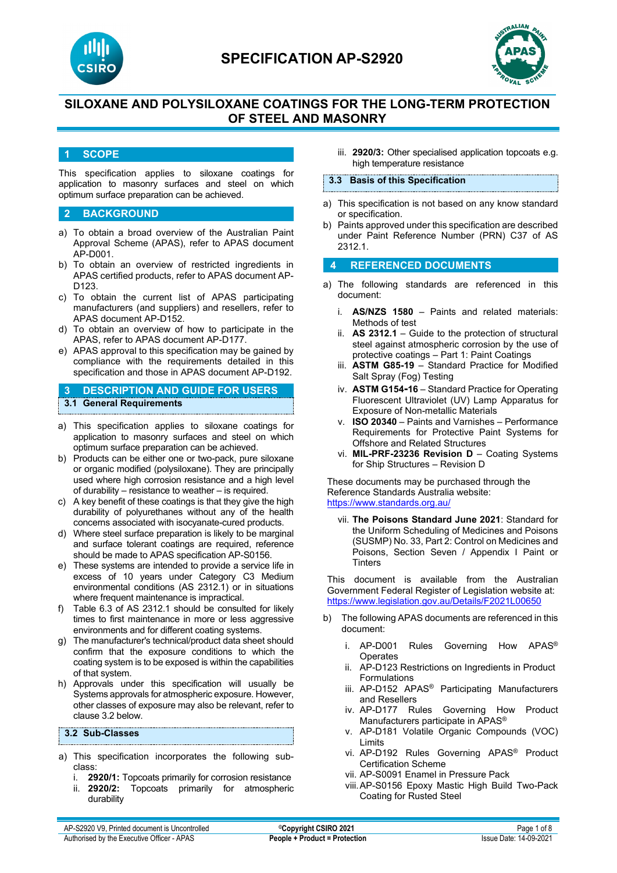



# **SILOXANE AND POLYSILOXANE COATINGS FOR THE LONG-TERM PROTECTION OF STEEL AND MASONRY**

### **1 SCOPE**

This specification applies to siloxane coatings for application to masonry surfaces and steel on which optimum surface preparation can be achieved.

### **2 BACKGROUND**

- a) To obtain a broad overview of the Australian Paint Approval Scheme (APAS), refer to APAS document AP-D001.
- b) To obtain an overview of restricted ingredients in APAS certified products, refer to APAS document AP-D123.
- c) To obtain the current list of APAS participating manufacturers (and suppliers) and resellers, refer to APAS document AP-D152.
- d) To obtain an overview of how to participate in the APAS, refer to APAS document AP-D177.
- e) APAS approval to this specification may be gained by compliance with the requirements detailed in this specification and those in APAS document AP-D192.

### **3 DESCRIPTION AND GUIDE FOR USERS 3.1 General Requirements**

- a) This specification applies to siloxane coatings for application to masonry surfaces and steel on which optimum surface preparation can be achieved.
- b) Products can be either one or two-pack, pure siloxane or organic modified (polysiloxane). They are principally used where high corrosion resistance and a high level of durability – resistance to weather – is required.
- c) A key benefit of these coatings is that they give the high durability of polyurethanes without any of the health concerns associated with isocyanate-cured products.
- d) Where steel surface preparation is likely to be marginal and surface tolerant coatings are required, reference should be made to APAS specification AP-S0156.
- e) These systems are intended to provide a service life in excess of 10 years under Category C3 Medium environmental conditions (AS 2312.1) or in situations where frequent maintenance is impractical.
- f) Table 6.3 of AS 2312.1 should be consulted for likely times to first maintenance in more or less aggressive environments and for different coating systems.
- g) The manufacturer's technical/product data sheet should confirm that the exposure conditions to which the coating system is to be exposed is within the capabilities of that system.
- h) Approvals under this specification will usually be Systems approvals for atmospheric exposure. However, other classes of exposure may also be relevant, refer to clause 3.2 below.

#### **3.2 Sub-Classes**

- a) This specification incorporates the following subclass:
	- i. **2920/1:** Topcoats primarily for corrosion resistance ii. **2920/2:** Topcoats primarily for atmospheric durability

iii. **2920/3:** Other specialised application topcoats e.g. high temperature resistance

#### **3.3 Basis of this Specification**

- a) This specification is not based on any know standard or specification.
- b) Paints approved under this specification are described under Paint Reference Number (PRN) C37 of AS 2312.1.

#### **4 REFERENCED DOCUMENTS**

- a) The following standards are referenced in this document:
	- i. **AS/NZS 1580** Paints and related materials: Methods of test
	- ii. **AS 2312.1** Guide to the protection of structural steel against atmospheric corrosion by the use of protective coatings – Part 1: Paint Coatings
	- iii. **ASTM G85-19** Standard Practice for Modified Salt Spray (Fog) Testing
	- iv. **ASTM G154-16** Standard Practice for Operating Fluorescent Ultraviolet (UV) Lamp Apparatus for Exposure of Non-metallic Materials
	- v. **ISO 20340**  Paints and Varnishes Performance Requirements for Protective Paint Systems for Offshore and Related Structures
	- vi. **MIL-PRF-23236 Revision D** Coating Systems for Ship Structures – Revision D

These documents may be purchased through the Reference Standards Australia website: <https://www.standards.org.au/>

vii. **The Poisons Standard June 2021**: Standard for the Uniform Scheduling of Medicines and Poisons (SUSMP) No. 33, Part 2: Control on Medicines and Poisons, Section Seven / Appendix I Paint or **Tinters** 

This document is available from the Australian Government Federal Register of Legislation website at: <https://www.legislation.gov.au/Details/F2021L00650>

- b) The following APAS documents are referenced in this document:
	- i. AP-D001 Rules Governing How APAS® **Operates**
	- ii. AP-D123 Restrictions on Ingredients in Product Formulations
	- iii. AP-D152 APAS® Participating Manufacturers and Resellers
	- iv. AP-D177 Rules Governing How Product Manufacturers participate in APAS®
	- v. AP-D181 Volatile Organic Compounds (VOC) Limits
	- vi. AP-D192 Rules Governing APAS® Product Certification Scheme
	- vii. AP-S0091 Enamel in Pressure Pack
	- viii.AP-S0156 Epoxy Mastic High Build Two-Pack Coating for Rusted Steel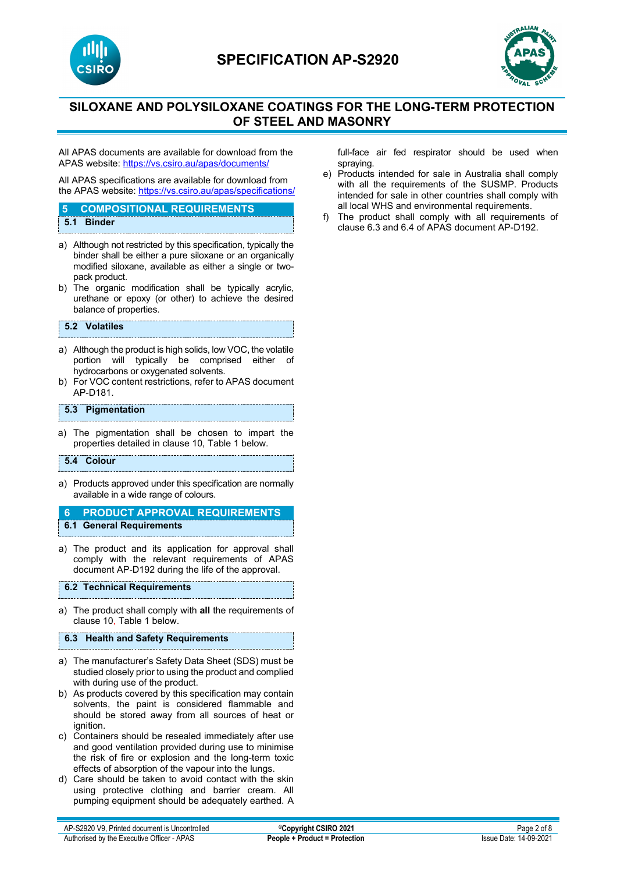



# **SILOXANE AND POLYSILOXANE COATINGS FOR THE LONG-TERM PROTECTION OF STEEL AND MASONRY**

All APAS documents are available for download from the APAS website: <https://vs.csiro.au/apas/documents/>

All APAS specifications are available for download from the APAS website: <https://vs.csiro.au/apas/specifications/>

## **5 COMPOSITIONAL REQUIREMENTS**

- **5.1 Binder**
- a) Although not restricted by this specification, typically the binder shall be either a pure siloxane or an organically modified siloxane, available as either a single or twopack product.
- b) The organic modification shall be typically acrylic, urethane or epoxy (or other) to achieve the desired balance of properties.

#### **5.2 Volatiles**

- a) Although the product is high solids, low VOC, the volatile<br>portion will typically be comprised either of portion will typically be comprised hydrocarbons or oxygenated solvents.
- b) For VOC content restrictions, refer to APAS document AP-D181.

### **5.3 Pigmentation**

a) The pigmentation shall be chosen to impart the properties detailed in clause 10, Table 1 below.

#### **5.4 Colour**

- a) Products approved under this specification are normally available in a wide range of colours.
- **6 PRODUCT APPROVAL REQUIREMENTS 6.1 General Requirements**
- a) The product and its application for approval shall comply with the relevant requirements of APAS document AP-D192 during the life of the approval.

#### **6.2 Technical Requirements**

a) The product shall comply with **all** the requirements of clause 10, Table 1 below.

#### **6.3 Health and Safety Requirements**

- a) The manufacturer's Safety Data Sheet (SDS) must be studied closely prior to using the product and complied with during use of the product.
- b) As products covered by this specification may contain solvents, the paint is considered flammable and should be stored away from all sources of heat or ignition.
- c) Containers should be resealed immediately after use and good ventilation provided during use to minimise the risk of fire or explosion and the long-term toxic effects of absorption of the vapour into the lungs.
- d) Care should be taken to avoid contact with the skin using protective clothing and barrier cream. All pumping equipment should be adequately earthed. A

full-face air fed respirator should be used when spraying.

- e) Products intended for sale in Australia shall comply with all the requirements of the SUSMP. Products intended for sale in other countries shall comply with all local WHS and environmental requirements.
- f) The product shall comply with all requirements of clause 6.3 and 6.4 of APAS document AP-D192.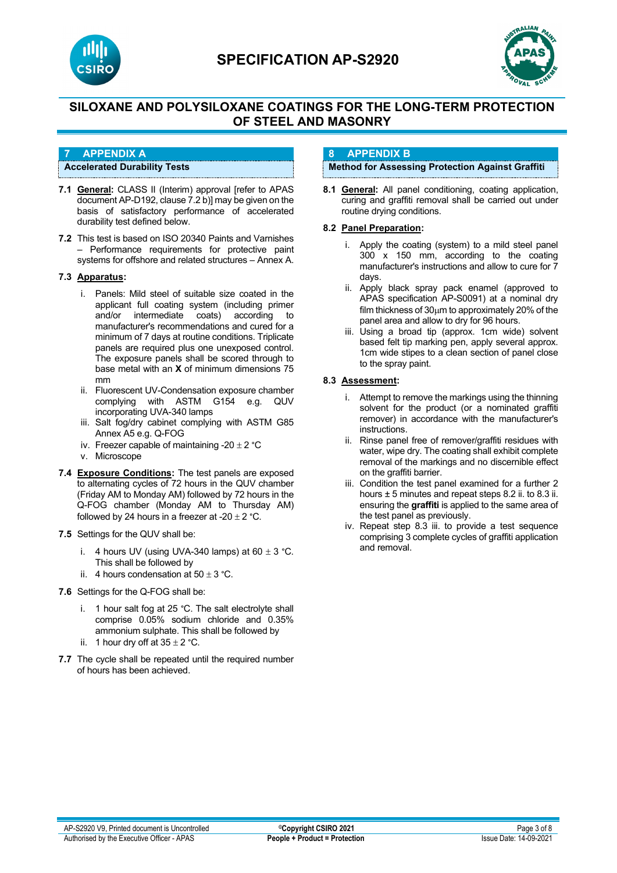



# **SILOXANE AND POLYSILOXANE COATINGS FOR THE LONG-TERM PROTECTION OF STEEL AND MASONRY**

### **7 APPENDIX A**

#### **Accelerated Durability Tests**

- **7.1 General:** CLASS II (Interim) approval [refer to APAS document AP-D192, clause 7.2 b)] may be given on the basis of satisfactory performance of accelerated durability test defined below.
- **7.2** This test is based on ISO 20340 Paints and Varnishes – Performance requirements for protective paint systems for offshore and related structures – Annex A.

### **7.3 Apparatus:**

- i. Panels: Mild steel of suitable size coated in the applicant full coating system (including primer and/or intermediate coats) according to manufacturer's recommendations and cured for a minimum of 7 days at routine conditions. Triplicate panels are required plus one unexposed control. The exposure panels shall be scored through to base metal with an **X** of minimum dimensions 75 mm
- ii. Fluorescent UV-Condensation exposure chamber complying with ASTM G154 e.g. QUV incorporating UVA-340 lamps
- iii. Salt fog/dry cabinet complying with ASTM G85 Annex A5 e.g. Q-FOG
- iv. Freezer capable of maintaining -20  $\pm$  2 °C
- v. Microscope
- **7.4 Exposure Conditions:** The test panels are exposed to alternating cycles of 72 hours in the QUV chamber (Friday AM to Monday AM) followed by 72 hours in the Q-FOG chamber (Monday AM to Thursday AM) followed by 24 hours in a freezer at -20  $\pm$  2 °C.
- **7.5** Settings for the QUV shall be:
	- i. 4 hours UV (using UVA-340 lamps) at  $60 \pm 3$  °C. This shall be followed by
	- ii. 4 hours condensation at  $50 \pm 3$  °C.
- **7.6** Settings for the Q-FOG shall be:
	- i. 1 hour salt fog at 25 °C. The salt electrolyte shall comprise 0.05% sodium chloride and 0.35% ammonium sulphate. This shall be followed by
	- ii. 1 hour dry off at  $35 \pm 2$  °C.
- **7.7** The cycle shall be repeated until the required number of hours has been achieved.

### **8 APPENDIX B**

### **Method for Assessing Protection Against Graffiti**

**8.1 General:** All panel conditioning, coating application, curing and graffiti removal shall be carried out under routine drying conditions.

### **8.2 Panel Preparation:**

- i. Apply the coating (system) to a mild steel panel 300 x 150 mm, according to the coating manufacturer's instructions and allow to cure for 7 days.
- ii. Apply black spray pack enamel (approved to APAS specification AP-S0091) at a nominal dry film thickness of 30µm to approximately 20% of the panel area and allow to dry for 96 hours.
- iii. Using a broad tip (approx. 1cm wide) solvent based felt tip marking pen, apply several approx. 1cm wide stipes to a clean section of panel close to the spray paint.

### **8.3 Assessment:**

- i. Attempt to remove the markings using the thinning solvent for the product (or a nominated graffiti remover) in accordance with the manufacturer's instructions.
- ii. Rinse panel free of remover/graffiti residues with water, wipe dry. The coating shall exhibit complete removal of the markings and no discernible effect on the graffiti barrier.
- iii. Condition the test panel examined for a further 2 hours  $\pm$  5 minutes and repeat steps 8.2 ii. to 8.3 ii. ensuring the **graffiti** is applied to the same area of the test panel as previously.
- iv. Repeat step 8.3 iii. to provide a test sequence comprising 3 complete cycles of graffiti application and removal.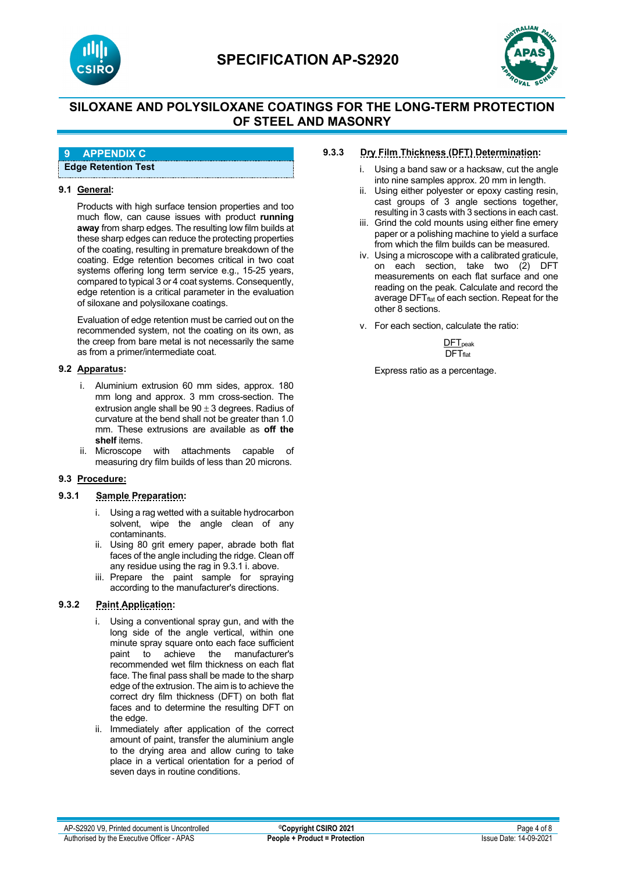



# **SILOXANE AND POLYSILOXANE COATINGS FOR THE LONG-TERM PROTECTION OF STEEL AND MASONRY**

### **9 APPENDIX C**

**Edge Retention Test**

### **9.1 General:**

Products with high surface tension properties and too much flow, can cause issues with product **running away** from sharp edges. The resulting low film builds at these sharp edges can reduce the protecting properties of the coating, resulting in premature breakdown of the coating. Edge retention becomes critical in two coat systems offering long term service e.g., 15-25 years, compared to typical 3 or 4 coat systems. Consequently, edge retention is a critical parameter in the evaluation of siloxane and polysiloxane coatings.

Evaluation of edge retention must be carried out on the recommended system, not the coating on its own, as the creep from bare metal is not necessarily the same as from a primer/intermediate coat.

#### **9.2 Apparatus:**

- i. Aluminium extrusion 60 mm sides, approx. 180 mm long and approx. 3 mm cross-section. The extrusion angle shall be  $90 \pm 3$  degrees. Radius of curvature at the bend shall not be greater than 1.0 mm. These extrusions are available as **off the shelf** items.<br>ii. Microscope
- with attachments capable of measuring dry film builds of less than 20 microns.

#### **9.3 Procedure:**

### **9.3.1 Sample Preparation:**

- i. Using a rag wetted with a suitable hydrocarbon solvent, wipe the angle clean of any contaminants.
- ii. Using 80 grit emery paper, abrade both flat faces of the angle including the ridge. Clean off any residue using the rag in 9.3.1 i. above.
- iii. Prepare the paint sample for spraying according to the manufacturer's directions.

### **9.3.2 Paint Application:**

- i. Using a conventional spray gun, and with the long side of the angle vertical, within one minute spray square onto each face sufficient paint to achieve the manufacturer's recommended wet film thickness on each flat face. The final pass shall be made to the sharp edge of the extrusion. The aim is to achieve the correct dry film thickness (DFT) on both flat faces and to determine the resulting DFT on the edge.
- ii. Immediately after application of the correct amount of paint, transfer the aluminium angle to the drying area and allow curing to take place in a vertical orientation for a period of seven days in routine conditions.

### **9.3.3 Dry Film Thickness (DFT) Determination:**

- i. Using a band saw or a hacksaw, cut the angle into nine samples approx. 20 mm in length.
- ii. Using either polyester or epoxy casting resin, cast groups of 3 angle sections together, resulting in 3 casts with 3 sections in each cast.
- iii. Grind the cold mounts using either fine emery paper or a polishing machine to yield a surface from which the film builds can be measured.
- iv. Using a microscope with a calibrated graticule, on each section, take two (2) DFT measurements on each flat surface and one reading on the peak. Calculate and record the average DFT<sub>flat</sub> of each section. Repeat for the other 8 sections.
- v. For each section, calculate the ratio:

 $DFT<sub>peak</sub>$  $\overline{DFT}_{\text{flat}}$ 

Express ratio as a percentage.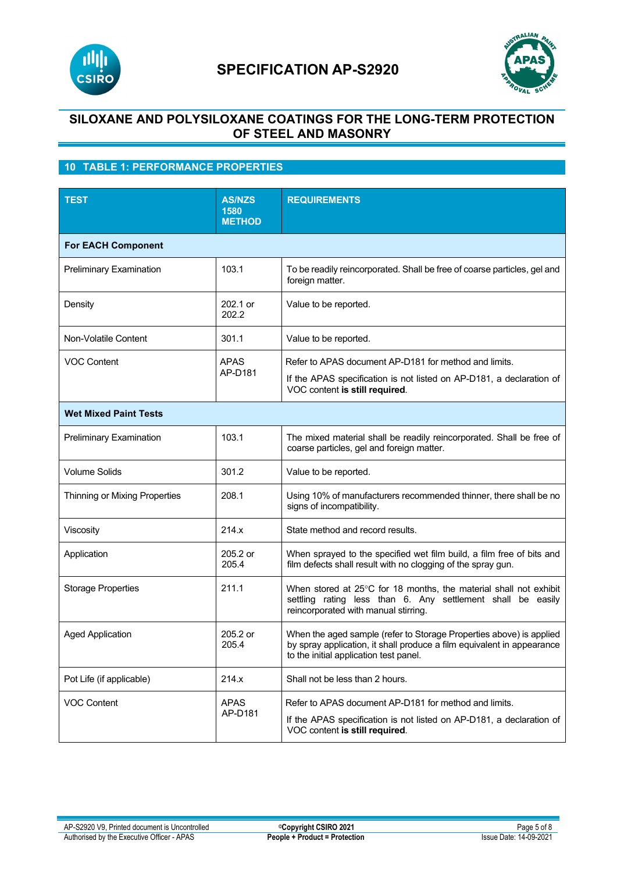



# **SILOXANE AND POLYSILOXANE COATINGS FOR THE LONG-TERM PROTECTION OF STEEL AND MASONRY**

# **10 TABLE 1: PERFORMANCE PROPERTIES**

| <b>TEST</b>                    | <b>AS/NZS</b><br>1580<br><b>METHOD</b> | <b>REQUIREMENTS</b>                                                                                                                                                                     |  |  |
|--------------------------------|----------------------------------------|-----------------------------------------------------------------------------------------------------------------------------------------------------------------------------------------|--|--|
| <b>For EACH Component</b>      |                                        |                                                                                                                                                                                         |  |  |
| Preliminary Examination        | 103.1                                  | To be readily reincorporated. Shall be free of coarse particles, gel and<br>foreign matter.                                                                                             |  |  |
| Density                        | 202.1 or<br>202.2                      | Value to be reported.                                                                                                                                                                   |  |  |
| Non-Volatile Content           | 301.1                                  | Value to be reported.                                                                                                                                                                   |  |  |
| <b>VOC Content</b>             | APAS<br>AP-D181                        | Refer to APAS document AP-D181 for method and limits.                                                                                                                                   |  |  |
|                                |                                        | If the APAS specification is not listed on AP-D181, a declaration of<br>VOC content is still required.                                                                                  |  |  |
| <b>Wet Mixed Paint Tests</b>   |                                        |                                                                                                                                                                                         |  |  |
| <b>Preliminary Examination</b> | 103.1                                  | The mixed material shall be readily reincorporated. Shall be free of<br>coarse particles, gel and foreign matter.                                                                       |  |  |
| <b>Volume Solids</b>           | 301.2                                  | Value to be reported.                                                                                                                                                                   |  |  |
| Thinning or Mixing Properties  | 208.1                                  | Using 10% of manufacturers recommended thinner, there shall be no<br>signs of incompatibility.                                                                                          |  |  |
| Viscosity                      | 214.x                                  | State method and record results.                                                                                                                                                        |  |  |
| Application                    | 205.2 or<br>205.4                      | When sprayed to the specified wet film build, a film free of bits and<br>film defects shall result with no clogging of the spray gun.                                                   |  |  |
| <b>Storage Properties</b>      | 211.1                                  | When stored at 25°C for 18 months, the material shall not exhibit<br>settling rating less than 6. Any settlement shall be easily<br>reincorporated with manual stirring.                |  |  |
| <b>Aged Application</b>        | 205.2 or<br>205.4                      | When the aged sample (refer to Storage Properties above) is applied<br>by spray application, it shall produce a film equivalent in appearance<br>to the initial application test panel. |  |  |
| Pot Life (if applicable)       | 214.x                                  | Shall not be less than 2 hours.                                                                                                                                                         |  |  |
| <b>VOC Content</b>             | <b>APAS</b><br>AP-D181                 | Refer to APAS document AP-D181 for method and limits.<br>If the APAS specification is not listed on AP-D181, a declaration of<br>VOC content is still required.                         |  |  |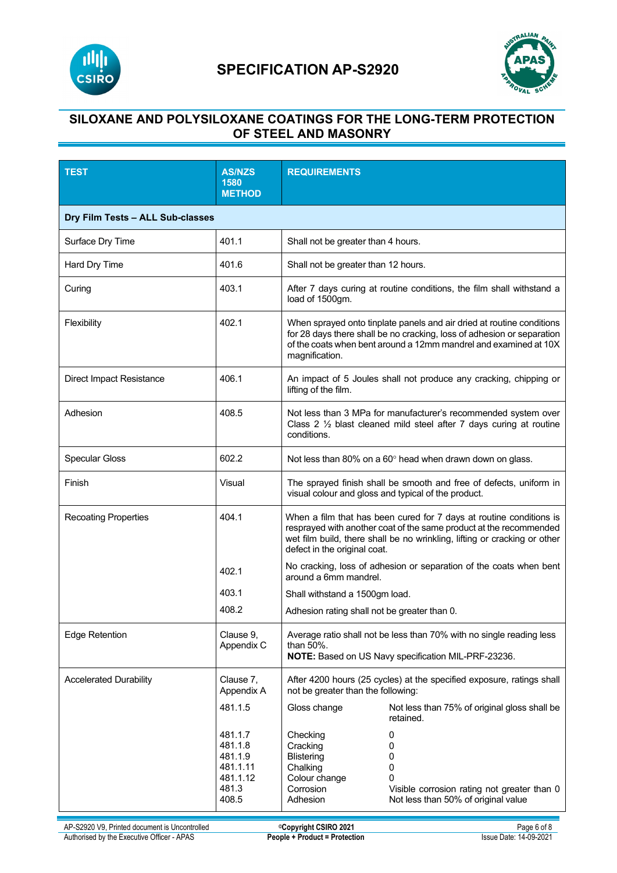



# **SILOXANE AND POLYSILOXANE COATINGS FOR THE LONG-TERM PROTECTION OF STEEL AND MASONRY**

| <b>TEST</b>                      | <b>AS/NZS</b><br>1580<br><b>METHOD</b>                                  | <b>REQUIREMENTS</b>                                                                             |                                                                                                                                                                                                                        |  |
|----------------------------------|-------------------------------------------------------------------------|-------------------------------------------------------------------------------------------------|------------------------------------------------------------------------------------------------------------------------------------------------------------------------------------------------------------------------|--|
| Dry Film Tests - ALL Sub-classes |                                                                         |                                                                                                 |                                                                                                                                                                                                                        |  |
| Surface Dry Time                 | 401.1                                                                   | Shall not be greater than 4 hours.                                                              |                                                                                                                                                                                                                        |  |
| Hard Dry Time                    | 401.6                                                                   | Shall not be greater than 12 hours.                                                             |                                                                                                                                                                                                                        |  |
| Curing                           | 403.1                                                                   | load of 1500gm.                                                                                 | After 7 days curing at routine conditions, the film shall withstand a                                                                                                                                                  |  |
| Flexibility                      | 402.1                                                                   | magnification.                                                                                  | When sprayed onto tinplate panels and air dried at routine conditions<br>for 28 days there shall be no cracking, loss of adhesion or separation<br>of the coats when bent around a 12mm mandrel and examined at 10X    |  |
| <b>Direct Impact Resistance</b>  | 406.1                                                                   | lifting of the film.                                                                            | An impact of 5 Joules shall not produce any cracking, chipping or                                                                                                                                                      |  |
| Adhesion                         | 408.5                                                                   | conditions.                                                                                     | Not less than 3 MPa for manufacturer's recommended system over<br>Class 2 $\frac{1}{2}$ blast cleaned mild steel after 7 days curing at routine                                                                        |  |
| <b>Specular Gloss</b>            | 602.2                                                                   |                                                                                                 | Not less than 80% on a 60° head when drawn down on glass.                                                                                                                                                              |  |
| Finish                           | Visual                                                                  |                                                                                                 | The sprayed finish shall be smooth and free of defects, uniform in<br>visual colour and gloss and typical of the product.                                                                                              |  |
| <b>Recoating Properties</b>      | 404.1                                                                   | defect in the original coat.                                                                    | When a film that has been cured for 7 days at routine conditions is<br>resprayed with another coat of the same product at the recommended<br>wet film build, there shall be no wrinkling, lifting or cracking or other |  |
|                                  | 402.1                                                                   | around a 6mm mandrel.                                                                           | No cracking, loss of adhesion or separation of the coats when bent                                                                                                                                                     |  |
|                                  | 403.1                                                                   | Shall withstand a 1500gm load.                                                                  |                                                                                                                                                                                                                        |  |
|                                  | 408.2                                                                   | Adhesion rating shall not be greater than 0.                                                    |                                                                                                                                                                                                                        |  |
| <b>Edge Retention</b>            | Clause 9,<br>Appendix C                                                 | than 50%.                                                                                       | Average ratio shall not be less than 70% with no single reading less<br>NOTE: Based on US Navy specification MIL-PRF-23236.                                                                                            |  |
| <b>Accelerated Durability</b>    | Clause 7,<br>Appendix A                                                 | not be greater than the following:                                                              | After 4200 hours (25 cycles) at the specified exposure, ratings shall                                                                                                                                                  |  |
|                                  | 481.1.5                                                                 | Gloss change                                                                                    | Not less than 75% of original gloss shall be<br>retained.                                                                                                                                                              |  |
|                                  | 481.1.7<br>481.1.8<br>481.1.9<br>481.1.11<br>481.1.12<br>481.3<br>408.5 | Checking<br>Cracking<br><b>Blistering</b><br>Chalking<br>Colour change<br>Corrosion<br>Adhesion | 0<br>0<br>0<br>0<br>0<br>Visible corrosion rating not greater than 0<br>Not less than 50% of original value                                                                                                            |  |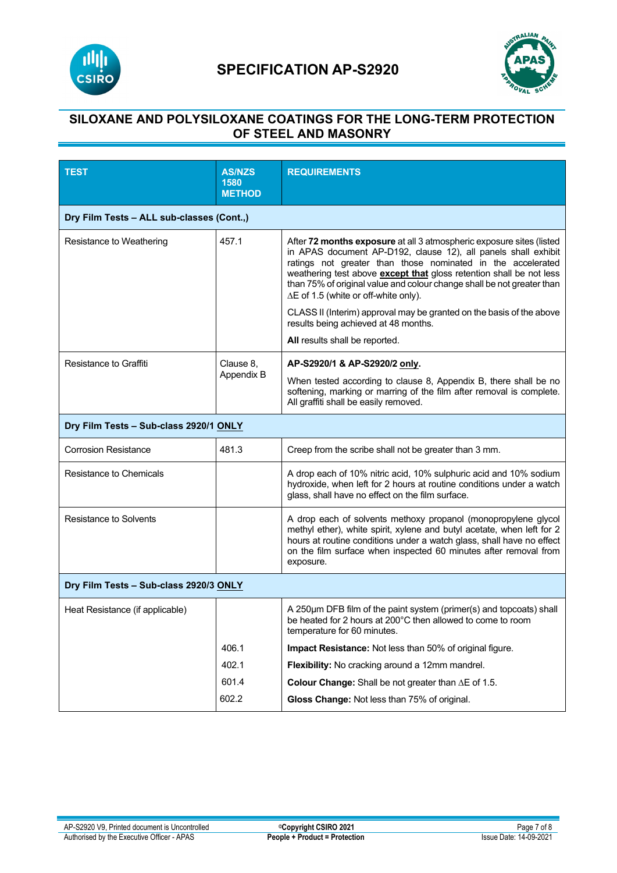



# **SILOXANE AND POLYSILOXANE COATINGS FOR THE LONG-TERM PROTECTION OF STEEL AND MASONRY**

| <b>TEST</b>                               | <b>AS/NZS</b><br>1580<br><b>METHOD</b> | <b>REQUIREMENTS</b>                                                                                                                                                                                                                                                                                                                                                                                                                                                                                                                                             |  |  |
|-------------------------------------------|----------------------------------------|-----------------------------------------------------------------------------------------------------------------------------------------------------------------------------------------------------------------------------------------------------------------------------------------------------------------------------------------------------------------------------------------------------------------------------------------------------------------------------------------------------------------------------------------------------------------|--|--|
| Dry Film Tests - ALL sub-classes (Cont.,) |                                        |                                                                                                                                                                                                                                                                                                                                                                                                                                                                                                                                                                 |  |  |
| Resistance to Weathering                  | 457.1                                  | After 72 months exposure at all 3 atmospheric exposure sites (listed<br>in APAS document AP-D192, clause 12), all panels shall exhibit<br>ratings not greater than those nominated in the accelerated<br>weathering test above <b>except that</b> gloss retention shall be not less<br>than 75% of original value and colour change shall be not greater than<br>$\Delta E$ of 1.5 (white or off-white only).<br>CLASS II (Interim) approval may be granted on the basis of the above<br>results being achieved at 48 months.<br>All results shall be reported. |  |  |
| <b>Resistance to Graffiti</b>             | Clause 8,<br>Appendix B                | AP-S2920/1 & AP-S2920/2 only.<br>When tested according to clause 8, Appendix B, there shall be no<br>softening, marking or marring of the film after removal is complete.<br>All graffiti shall be easily removed.                                                                                                                                                                                                                                                                                                                                              |  |  |
| Dry Film Tests - Sub-class 2920/1 ONLY    |                                        |                                                                                                                                                                                                                                                                                                                                                                                                                                                                                                                                                                 |  |  |
| <b>Corrosion Resistance</b>               | 481.3                                  | Creep from the scribe shall not be greater than 3 mm.                                                                                                                                                                                                                                                                                                                                                                                                                                                                                                           |  |  |
| Resistance to Chemicals                   |                                        | A drop each of 10% nitric acid, 10% sulphuric acid and 10% sodium<br>hydroxide, when left for 2 hours at routine conditions under a watch<br>glass, shall have no effect on the film surface.                                                                                                                                                                                                                                                                                                                                                                   |  |  |
| Resistance to Solvents                    |                                        | A drop each of solvents methoxy propanol (monopropylene glycol<br>methyl ether), white spirit, xylene and butyl acetate, when left for 2<br>hours at routine conditions under a watch glass, shall have no effect<br>on the film surface when inspected 60 minutes after removal from<br>exposure.                                                                                                                                                                                                                                                              |  |  |
| Dry Film Tests - Sub-class 2920/3 ONLY    |                                        |                                                                                                                                                                                                                                                                                                                                                                                                                                                                                                                                                                 |  |  |
| Heat Resistance (if applicable)           |                                        | A 250um DFB film of the paint system (primer(s) and topcoats) shall<br>be heated for 2 hours at 200°C then allowed to come to room<br>temperature for 60 minutes.                                                                                                                                                                                                                                                                                                                                                                                               |  |  |
|                                           | 406.1                                  | Impact Resistance: Not less than 50% of original figure.                                                                                                                                                                                                                                                                                                                                                                                                                                                                                                        |  |  |
|                                           | 402.1                                  | Flexibility: No cracking around a 12mm mandrel.                                                                                                                                                                                                                                                                                                                                                                                                                                                                                                                 |  |  |
|                                           | 601.4                                  | Colour Change: Shall be not greater than $\Delta E$ of 1.5.                                                                                                                                                                                                                                                                                                                                                                                                                                                                                                     |  |  |
|                                           | 602.2                                  | Gloss Change: Not less than 75% of original.                                                                                                                                                                                                                                                                                                                                                                                                                                                                                                                    |  |  |